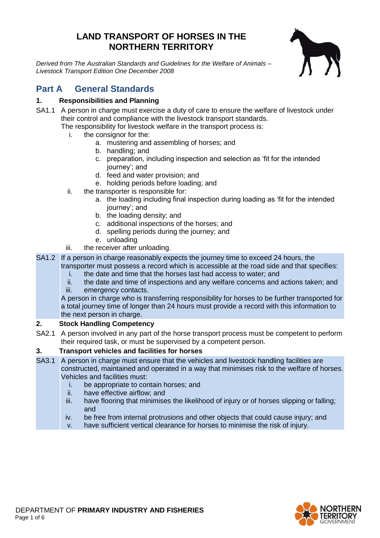# **LAND TRANSPORT OF HORSES IN THE NORTHERN TERRITORY**

*Derived from The Australian Standards and Guidelines for the Welfare of Animals – Livestock Transport Edition One December 2008*



# **Part A General Standards**

# **1. Responsibilities and Planning**

SA1.1 A person in charge must exercise a duty of care to ensure the welfare of livestock under their control and compliance with the livestock transport standards.

The responsibility for livestock welfare in the transport process is:

- i. the consignor for the:
	- a. mustering and assembling of horses; and
	- b. handling; and
	- c. preparation, including inspection and selection as 'fit for the intended journey'; and
	- d. feed and water provision; and
	- e. holding periods before loading; and
- ii. the transporter is responsible for:
	- a. the loading including final inspection during loading as 'fit for the intended journey'; and
	- b. the loading density; and
	- c. additional inspections of the horses; and
	- d. spelling periods during the journey; and
	- e. unloading
- iii. the receiver after unloading.
- SA1.2 If a person in charge reasonably expects the journey time to exceed 24 hours, the
	- transporter must possess a record which is accessible at the road side and that specifies: i. the date and time that the horses last had access to water; and
		-
		- ii. the date and time of inspections and any welfare concerns and actions taken; and iii. emergency contacts.

A person in charge who is transferring responsibility for horses to be further transported for a total journey time of longer than 24 hours must provide a record with this information to the next person in charge.

## **2. Stock Handling Competency**

SA2.1 A person involved in any part of the horse transport process must be competent to perform their required task, or must be supervised by a competent person.

## **3. Transport vehicles and facilities for horses**

- SA3.1 A person in charge must ensure that the vehicles and livestock handling facilities are constructed, maintained and operated in a way that minimises risk to the welfare of horses. Vehicles and facilities must:
	- i. be appropriate to contain horses; and
	- ii. have effective airflow; and
	- iii. have flooring that minimises the likelihood of injury or of horses slipping or falling; and
	- iv. be free from internal protrusions and other objects that could cause injury; and
	- v. have sufficient vertical clearance for horses to minimise the risk of injury.

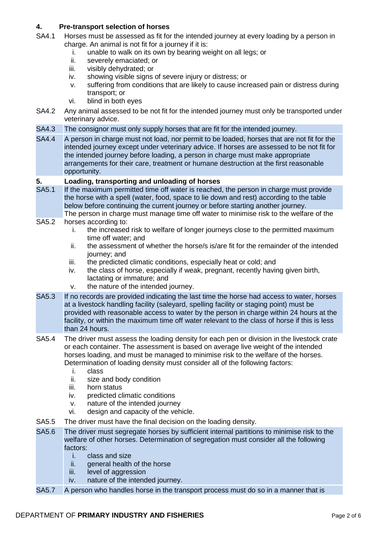## **4. Pre-transport selection of horses**

- SA4.1 Horses must be assessed as fit for the intended journey at every loading by a person in charge. An animal is not fit for a journey if it is:
	- i. unable to walk on its own by bearing weight on all legs; or
	- ii. severely emaciated; or
	- iii. visibly dehydrated; or
	- iv. showing visible signs of severe injury or distress; or
	- v. suffering from conditions that are likely to cause increased pain or distress during transport; or
	- vi. blind in both eyes
- SA4.2 Any animal assessed to be not fit for the intended journey must only be transported under veterinary advice.
- SA4.3 The consignor must only supply horses that are fit for the intended journey.
- SA4.4 A person in charge must not load, nor permit to be loaded, horses that are not fit for the intended journey except under veterinary advice. If horses are assessed to be not fit for the intended journey before loading, a person in charge must make appropriate arrangements for their care, treatment or humane destruction at the first reasonable opportunity.

#### **5. Loading, transporting and unloading of horses**

- SA5.1 If the maximum permitted time off water is reached, the person in charge must provide the horse with a spell (water, food, space to lie down and rest) according to the table below before continuing the current journey or before starting another journey.
- The person in charge must manage time off water to minimise risk to the welfare of the
- SA5.2 horses according to:
	- i. the increased risk to welfare of longer journeys close to the permitted maximum time off water; and
	- ii. the assessment of whether the horse/s is/are fit for the remainder of the intended journey; and
	- iii. the predicted climatic conditions, especially heat or cold; and
	- iv. the class of horse, especially if weak, pregnant, recently having given birth, lactating or immature; and
	- v. the nature of the intended journey.
- SA5.3 If no records are provided indicating the last time the horse had access to water, horses at a livestock handling facility (saleyard, spelling facility or staging point) must be provided with reasonable access to water by the person in charge within 24 hours at the facility, or within the maximum time off water relevant to the class of horse if this is less than 24 hours.
- SA5.4 The driver must assess the loading density for each pen or division in the livestock crate or each container. The assessment is based on average live weight of the intended horses loading, and must be managed to minimise risk to the welfare of the horses. Determination of loading density must consider all of the following factors:
	- i. class
	- ii. size and body condition
	- iii. horn status
	- iv. predicted climatic conditions
	- v. nature of the intended journey
	- vi. design and capacity of the vehicle.
- SA5.5 The driver must have the final decision on the loading density.
- SA5.6 The driver must segregate horses by sufficient internal partitions to minimise risk to the welfare of other horses. Determination of segregation must consider all the following factors:
	- i. class and size
	- ii. general health of the horse
	- iii. level of aggression
	- iv. nature of the intended journey.
- SA5.7 A person who handles horse in the transport process must do so in a manner that is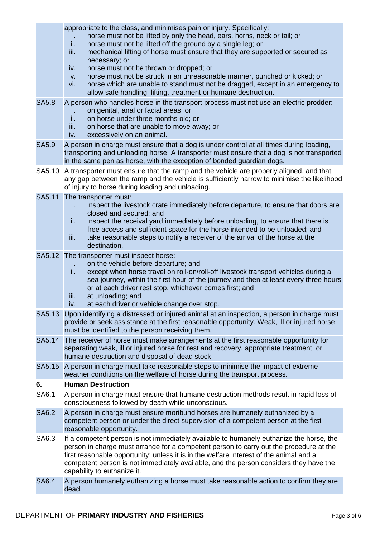|              | appropriate to the class, and minimises pain or injury. Specifically:<br>horse must not be lifted by only the head, ears, horns, neck or tail; or<br>Τ.<br>ii.<br>horse must not be lifted off the ground by a single leg; or<br>iii.<br>mechanical lifting of horse must ensure that they are supported or secured as<br>necessary; or<br>horse must not be thrown or dropped; or<br>iv.<br>horse must not be struck in an unreasonable manner, punched or kicked; or<br>V.<br>horse which are unable to stand must not be dragged, except in an emergency to<br>vi.<br>allow safe handling, lifting, treatment or humane destruction. |
|--------------|-----------------------------------------------------------------------------------------------------------------------------------------------------------------------------------------------------------------------------------------------------------------------------------------------------------------------------------------------------------------------------------------------------------------------------------------------------------------------------------------------------------------------------------------------------------------------------------------------------------------------------------------|
| <b>SA5.8</b> | A person who handles horse in the transport process must not use an electric prodder:<br>on genital, anal or facial areas; or<br>Τ.<br>ii.<br>on horse under three months old; or<br>on horse that are unable to move away; or<br>iii.<br>excessively on an animal.<br>iv.                                                                                                                                                                                                                                                                                                                                                              |
| <b>SA5.9</b> | A person in charge must ensure that a dog is under control at all times during loading,<br>transporting and unloading horse. A transporter must ensure that a dog is not transported<br>in the same pen as horse, with the exception of bonded guardian dogs.                                                                                                                                                                                                                                                                                                                                                                           |
| SA5.10       | A transporter must ensure that the ramp and the vehicle are properly aligned, and that<br>any gap between the ramp and the vehicle is sufficiently narrow to minimise the likelihood<br>of injury to horse during loading and unloading.                                                                                                                                                                                                                                                                                                                                                                                                |
| SA5.11       | The transporter must:<br>inspect the livestock crate immediately before departure, to ensure that doors are<br>i.<br>closed and secured; and<br>inspect the receival yard immediately before unloading, to ensure that there is<br>ii.<br>free access and sufficient space for the horse intended to be unloaded; and<br>take reasonable steps to notify a receiver of the arrival of the horse at the<br>iii.<br>destination.                                                                                                                                                                                                          |
| SA5.12       | The transporter must inspect horse:<br>on the vehicle before departure; and<br>i.<br>except when horse travel on roll-on/roll-off livestock transport vehicles during a<br>ii.<br>sea journey, within the first hour of the journey and then at least every three hours<br>or at each driver rest stop, whichever comes first; and<br>at unloading; and<br>iii.<br>at each driver or vehicle change over stop.<br>iv.                                                                                                                                                                                                                   |
|              | SA5.13 Upon identifying a distressed or injured animal at an inspection, a person in charge must<br>provide or seek assistance at the first reasonable opportunity. Weak, ill or injured horse<br>must be identified to the person receiving them.                                                                                                                                                                                                                                                                                                                                                                                      |
| SA5.14       | The receiver of horse must make arrangements at the first reasonable opportunity for<br>separating weak, ill or injured horse for rest and recovery, appropriate treatment, or<br>humane destruction and disposal of dead stock.                                                                                                                                                                                                                                                                                                                                                                                                        |
| SA5.15       | A person in charge must take reasonable steps to minimise the impact of extreme<br>weather conditions on the welfare of horse during the transport process.                                                                                                                                                                                                                                                                                                                                                                                                                                                                             |
| 6.           | <b>Human Destruction</b>                                                                                                                                                                                                                                                                                                                                                                                                                                                                                                                                                                                                                |
| SA6.1        | A person in charge must ensure that humane destruction methods result in rapid loss of<br>consciousness followed by death while unconscious.                                                                                                                                                                                                                                                                                                                                                                                                                                                                                            |
| <b>SA6.2</b> | A person in charge must ensure moribund horses are humanely euthanized by a<br>competent person or under the direct supervision of a competent person at the first<br>reasonable opportunity.                                                                                                                                                                                                                                                                                                                                                                                                                                           |
| SA6.3        | If a competent person is not immediately available to humanely euthanize the horse, the<br>person in charge must arrange for a competent person to carry out the procedure at the<br>first reasonable opportunity; unless it is in the welfare interest of the animal and a<br>competent person is not immediately available, and the person considers they have the<br>capability to euthanize it.                                                                                                                                                                                                                                     |
| <b>SA6.4</b> | A person humanely euthanizing a horse must take reasonable action to confirm they are<br>dead.                                                                                                                                                                                                                                                                                                                                                                                                                                                                                                                                          |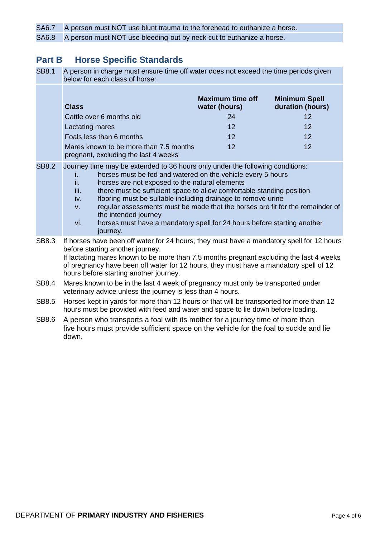SA6.7 A person must NOT use blunt trauma to the forehead to euthanize a horse.

SA6.8 A person must NOT use bleeding-out by neck cut to euthanize a horse.

# **Part B Horse Specific Standards**

| <b>SB8.1</b> | A person in charge must ensure time off water does not exceed the time periods given<br>below for each class of horse:                                                                                                                                                                                                                                                                                                                                                                                                                                                           |                                          |                                          |
|--------------|----------------------------------------------------------------------------------------------------------------------------------------------------------------------------------------------------------------------------------------------------------------------------------------------------------------------------------------------------------------------------------------------------------------------------------------------------------------------------------------------------------------------------------------------------------------------------------|------------------------------------------|------------------------------------------|
|              | <b>Class</b>                                                                                                                                                                                                                                                                                                                                                                                                                                                                                                                                                                     | <b>Maximum time off</b><br>water (hours) | <b>Minimum Spell</b><br>duration (hours) |
|              | Cattle over 6 months old                                                                                                                                                                                                                                                                                                                                                                                                                                                                                                                                                         | 24                                       | 12                                       |
|              | Lactating mares                                                                                                                                                                                                                                                                                                                                                                                                                                                                                                                                                                  | 12                                       | 12                                       |
|              | Foals less than 6 months                                                                                                                                                                                                                                                                                                                                                                                                                                                                                                                                                         | 12                                       | 12                                       |
|              | Mares known to be more than 7.5 months<br>pregnant, excluding the last 4 weeks                                                                                                                                                                                                                                                                                                                                                                                                                                                                                                   | 12                                       | 12                                       |
| <b>SB8.2</b> | Journey time may be extended to 36 hours only under the following conditions:<br>horses must be fed and watered on the vehicle every 5 hours<br>Ĺ.<br>ii.<br>horses are not exposed to the natural elements<br>there must be sufficient space to allow comfortable standing position<br>iii.<br>flooring must be suitable including drainage to remove urine<br>iv.<br>regular assessments must be made that the horses are fit for the remainder of<br>V.<br>the intended journey<br>horses must have a mandatory spell for 24 hours before starting another<br>vi.<br>journey. |                                          |                                          |
| SB8.3        | If horses have been off water for 24 hours, they must have a mandatory spell for 12 hours<br>before starting another journey.<br>If lactating mares known to be more than 7.5 months pregnant excluding the last 4 weeks<br>of pregnancy have been off water for 12 hours, they must have a mandatory spell of 12<br>hours before starting another journey.                                                                                                                                                                                                                      |                                          |                                          |
| <b>SB8.4</b> | Mares known to be in the last 4 week of pregnancy must only be transported under<br>veterinary advice unless the journey is less than 4 hours.                                                                                                                                                                                                                                                                                                                                                                                                                                   |                                          |                                          |
| <b>SB8.5</b> | Horses kept in yards for more than 12 hours or that will be transported for more than 12<br>hours must be provided with feed and water and space to lie down before loading.                                                                                                                                                                                                                                                                                                                                                                                                     |                                          |                                          |
| SB8.6        | A person who transports a foal with its mother for a journey time of more than<br>five hours must provide sufficient space on the vehicle for the foal to suckle and lie                                                                                                                                                                                                                                                                                                                                                                                                         |                                          |                                          |

down.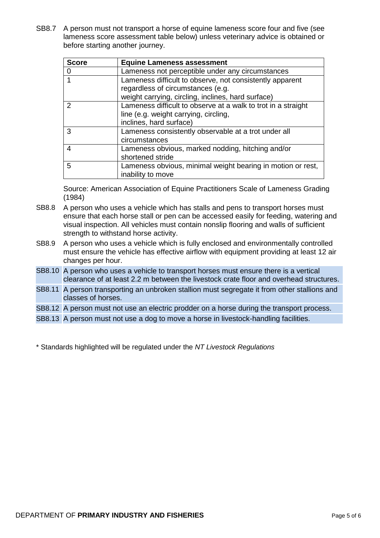SB8.7 A person must not transport a horse of equine lameness score four and five (see lameness score assessment table below) unless veterinary advice is obtained or before starting another journey.

| <b>Score</b>   | <b>Equine Lameness assessment</b>                                                                                                                   |
|----------------|-----------------------------------------------------------------------------------------------------------------------------------------------------|
|                | Lameness not perceptible under any circumstances                                                                                                    |
| 1              | Lameness difficult to observe, not consistently apparent<br>regardless of circumstances (e.g.<br>weight carrying, circling, inclines, hard surface) |
| $\overline{2}$ | Lameness difficult to observe at a walk to trot in a straight<br>line (e.g. weight carrying, circling,<br>inclines, hard surface)                   |
| 3              | Lameness consistently observable at a trot under all<br>circumstances                                                                               |
| $\overline{4}$ | Lameness obvious, marked nodding, hitching and/or<br>shortened stride                                                                               |
| 5              | Lameness obvious, minimal weight bearing in motion or rest,<br>inability to move                                                                    |

Source: American Association of Equine Practitioners Scale of Lameness Grading (1984)

- SB8.8 A person who uses a vehicle which has stalls and pens to transport horses must ensure that each horse stall or pen can be accessed easily for feeding, watering and visual inspection. All vehicles must contain nonslip flooring and walls of sufficient strength to withstand horse activity.
- SB8.9 A person who uses a vehicle which is fully enclosed and environmentally controlled must ensure the vehicle has effective airflow with equipment providing at least 12 air changes per hour.
- SB8.10 A person who uses a vehicle to transport horses must ensure there is a vertical clearance of at least 2.2 m between the livestock crate floor and overhead structures.
- SB8.11 A person transporting an unbroken stallion must segregate it from other stallions and classes of horses.

SB8.12 A person must not use an electric prodder on a horse during the transport process.

SB8.13 A person must not use a dog to move a horse in livestock-handling facilities.

\* Standards highlighted will be regulated under the *NT Livestock Regulations*